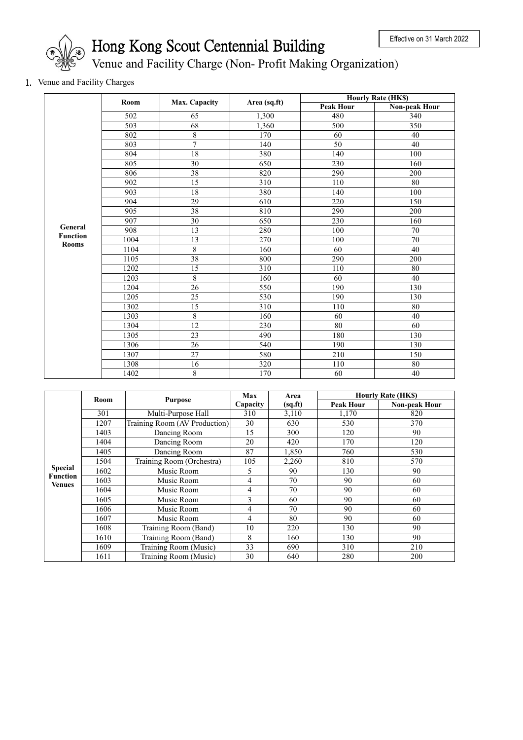

## Hong Kong Scout Centennial Building

Venue and Facility Charge (Non- Profit Making Organization)

1. Venue and Facility Charges

|                 | Room             |                 | Area (sq.ft) | <b>Hourly Rate (HK\$)</b> |                  |
|-----------------|------------------|-----------------|--------------|---------------------------|------------------|
|                 |                  | Max. Capacity   |              | <b>Peak Hour</b>          | Non-peak Hour    |
|                 | $\overline{502}$ | 65              | 1,300        | 480                       | $\overline{340}$ |
|                 | 503              | 68              | 1,360        | 500                       | 350              |
|                 | 802              | 8               | 170          | 60                        | 40               |
|                 | 803              | 7               | 140          | 50                        | 40               |
|                 | 804              | 18              | 380          | 140                       | 100              |
|                 | 805              | 30              | 650          | 230                       | 160              |
|                 | 806              | 38              | 820          | 290                       | 200              |
|                 | 902              | 15              | 310          | 110                       | 80               |
|                 | 903              | 18              | 380          | 140                       | 100              |
|                 | 904              | 29              | 610          | 220                       | 150              |
|                 | 905              | 38              | 810          | 290                       | 200              |
|                 | 907              | 30              | 650          | 230                       | 160              |
| General         | 908              | 13              | 280          | 100                       | $70\,$           |
| <b>Function</b> | 1004             | 13              | 270          | 100                       | 70               |
| <b>Rooms</b>    | 1104             | $\overline{8}$  | 160          | 60                        | 40               |
|                 | 1105             | $\overline{38}$ | 800          | 290                       | 200              |
|                 | 1202             | $\overline{15}$ | 310          | 110                       | $\overline{80}$  |
|                 | 1203             | $\overline{8}$  | 160          | 60                        | 40               |
|                 | 1204             | $\overline{26}$ | 550          | 190                       | 130              |
|                 | 1205             | 25              | 530          | 190                       | 130              |
|                 | 1302             | $\overline{15}$ | 310          | 110                       | 80               |
|                 | 1303             | $\overline{8}$  | 160          | 60                        | 40               |
|                 | 1304             | $\overline{12}$ | 230          | 80                        | 60               |
|                 | 1305             | 23              | 490          | 180                       | 130              |
|                 | 1306             | $\overline{26}$ | 540          | 190                       | 130              |
|                 | 1307             | 27              | 580          | 210                       | 150              |
|                 | 1308             | 16              | 320          | 110                       | 80               |
|                 | 1402             | 8               | 170          | 60                        | 40               |

|                                             | <b>Room</b> |                               |          | Area    |                  | <b>Hourly Rate (HK\$)</b> |
|---------------------------------------------|-------------|-------------------------------|----------|---------|------------------|---------------------------|
|                                             |             | <b>Purpose</b>                | Capacity | (sq.fr) | <b>Peak Hour</b> | Non-peak Hour             |
|                                             | 301         | Multi-Purpose Hall            | 310      | 3,110   | 1,170            | 820                       |
|                                             | 1207        | Training Room (AV Production) | 30       | 630     | 530              | 370                       |
|                                             | 1403        | Dancing Room                  | 15       | 300     | 120              | 90                        |
|                                             | 1404        | Dancing Room                  | 20       | 420     | 170              | 120                       |
| <b>Special</b><br><b>Function</b><br>Venues | 1405        | Dancing Room                  | 87       | 1,850   | 760              | 530                       |
|                                             | 1504        | Training Room (Orchestra)     | 105      | 2,260   | 810              | 570                       |
|                                             | 1602        | Music Room                    | 5        | 90      | 130              | 90                        |
|                                             | 1603        | Music Room                    | 4        | 70      | 90               | 60                        |
|                                             | 1604        | Music Room                    | 4        | 70      | 90               | 60                        |
|                                             | 1605        | Music Room                    | 3        | 60      | 90               | 60                        |
|                                             | 1606        | Music Room                    | 4        | 70      | 90               | 60                        |
|                                             | 1607        | Music Room                    | 4        | 80      | 90               | 60                        |
|                                             | 1608        | Training Room (Band)          | 10       | 220     | 130              | 90                        |
|                                             | 1610        | Training Room (Band)          | 8        | 160     | 130              | 90                        |
|                                             | 1609        | Training Room (Music)         | 33       | 690     | 310              | 210                       |
|                                             | 1611        | Training Room (Music)         | 30       | 640     | 280              | 200                       |